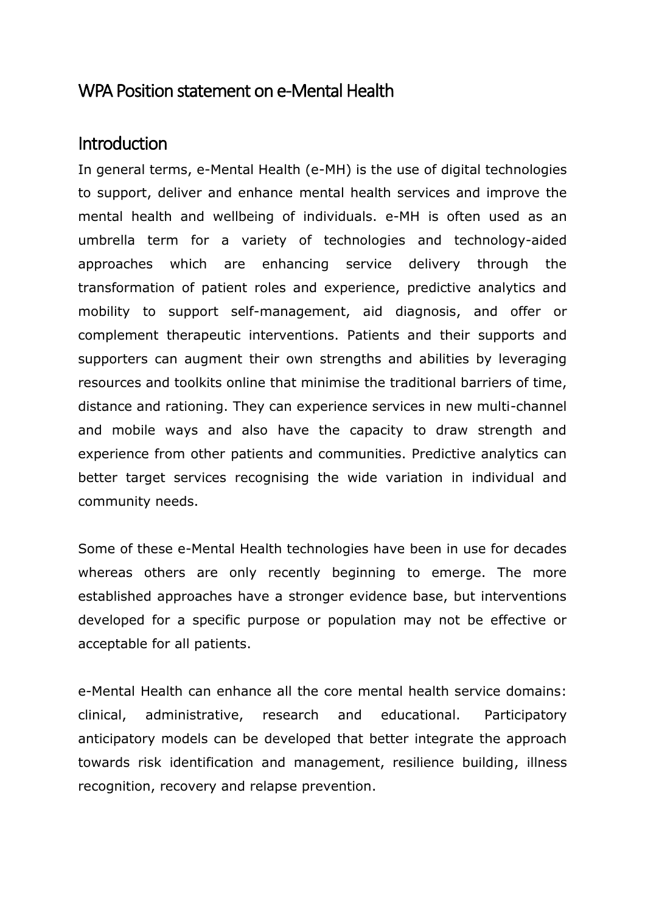#### WPA Position statement on e-Mental Health

#### Introduction

In general terms, e-Mental Health (e-MH) is the use of digital technologies to support, deliver and enhance mental health services and improve the mental health and wellbeing of individuals. e-MH is often used as an umbrella term for a variety of technologies and technology-aided approaches which are enhancing service delivery through the transformation of patient roles and experience, predictive analytics and mobility to support self-management, aid diagnosis, and offer or complement therapeutic interventions. Patients and their supports and supporters can augment their own strengths and abilities by leveraging resources and toolkits online that minimise the traditional barriers of time, distance and rationing. They can experience services in new multi-channel and mobile ways and also have the capacity to draw strength and experience from other patients and communities. Predictive analytics can better target services recognising the wide variation in individual and community needs.

Some of these e-Mental Health technologies have been in use for decades whereas others are only recently beginning to emerge. The more established approaches have a stronger evidence base, but interventions developed for a specific purpose or population may not be effective or acceptable for all patients.

e-Mental Health can enhance all the core mental health service domains: clinical, administrative, research and educational. Participatory anticipatory models can be developed that better integrate the approach towards risk identification and management, resilience building, illness recognition, recovery and relapse prevention.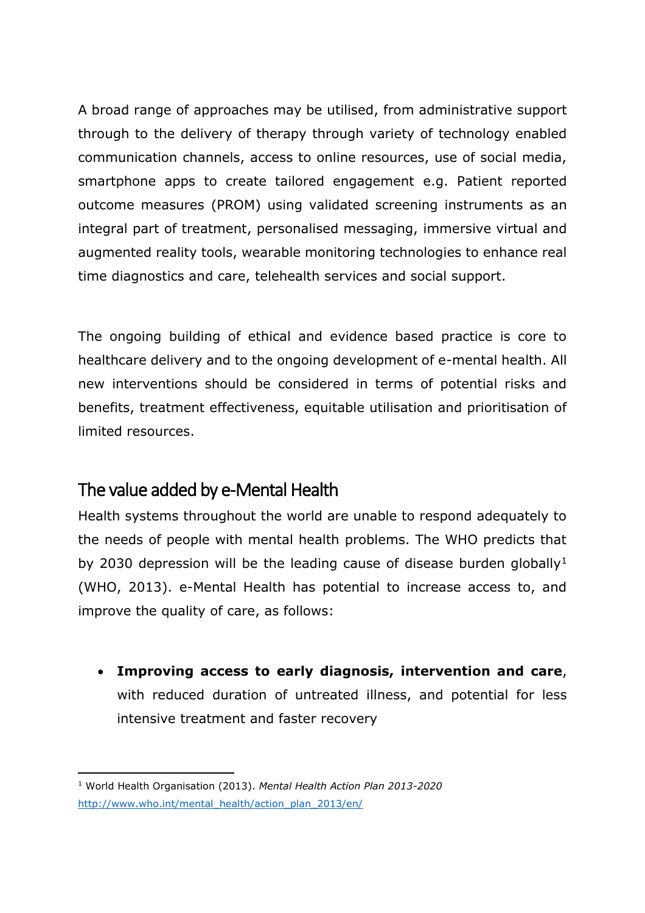A broad range of approaches may be utilised, from administrative support through to the delivery of therapy through variety of technology enabled communication channels, access to online resources, use of social media, smartphone apps to create tailored engagement e.g. Patient reported outcome measures (PROM) using validated screening instruments as an integral part of treatment, personalised messaging, immersive virtual and augmented reality tools, wearable monitoring technologies to enhance real time diagnostics and care, telehealth services and social support.

The ongoing building of ethical and evidence based practice is core to healthcare delivery and to the ongoing development of e-mental health. All new interventions should be considered in terms of potential risks and benefits, treatment effectiveness, equitable utilisation and prioritisation of limited resources.

## The value added by e-Mental Health

Health systems throughout the world are unable to respond adequately to the needs of people with mental health problems. The WHO predicts that by 2030 depression will be the leading cause of disease burden globally<sup>1</sup> (WHO, 2013). e-Mental Health has potential to increase access to, and improve the quality of care, as follows:

 **Improving access to early diagnosis, intervention and care**, with reduced duration of untreated illness, and potential for less intensive treatment and faster recovery

 $\overline{a}$ <sup>1</sup> World Health Organisation (2013). *Mental Health Action Plan 2013-2020* [http://www.who.int/mental\\_health/action\\_plan\\_2013/en/](http://www.who.int/mental_health/action_plan_2013/en/)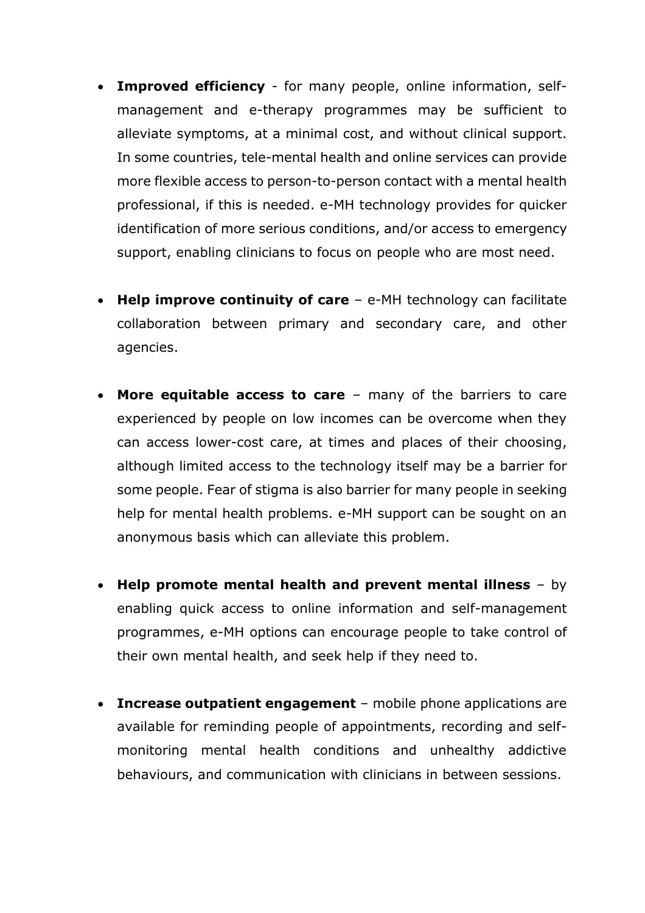- **Improved efficiency** for many people, online information, selfmanagement and e-therapy programmes may be sufficient to alleviate symptoms, at a minimal cost, and without clinical support. In some countries, tele-mental health and online services can provide more flexible access to person-to-person contact with a mental health professional, if this is needed. e-MH technology provides for quicker identification of more serious conditions, and/or access to emergency support, enabling clinicians to focus on people who are most need.
- **Help improve continuity of care** e-MH technology can facilitate collaboration between primary and secondary care, and other agencies.
- **More equitable access to care** many of the barriers to care experienced by people on low incomes can be overcome when they can access lower-cost care, at times and places of their choosing, although limited access to the technology itself may be a barrier for some people. Fear of stigma is also barrier for many people in seeking help for mental health problems. e-MH support can be sought on an anonymous basis which can alleviate this problem.
- **Help promote mental health and prevent mental illness** by enabling quick access to online information and self-management programmes, e-MH options can encourage people to take control of their own mental health, and seek help if they need to.
- **Increase outpatient engagement** mobile phone applications are available for reminding people of appointments, recording and selfmonitoring mental health conditions and unhealthy addictive behaviours, and communication with clinicians in between sessions.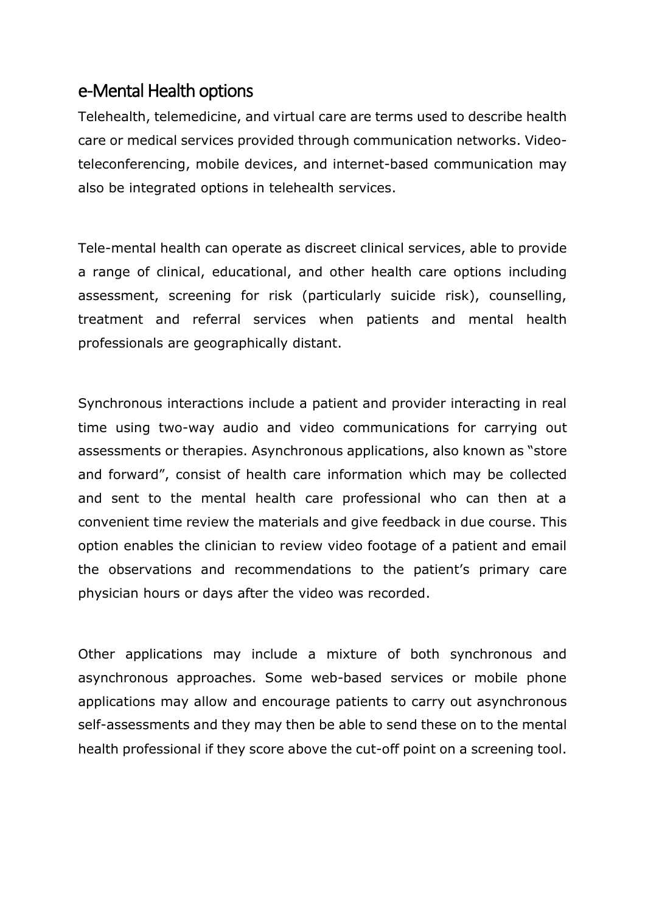#### e-Mental Health options

Telehealth, telemedicine, and virtual care are terms used to describe health care or medical services provided through communication networks. Videoteleconferencing, mobile devices, and internet-based communication may also be integrated options in telehealth services.

Tele-mental health can operate as discreet clinical services, able to provide a range of clinical, educational, and other health care options including assessment, screening for risk (particularly suicide risk), counselling, treatment and referral services when patients and mental health professionals are geographically distant.

Synchronous interactions include a patient and provider interacting in real time using two-way audio and video communications for carrying out assessments or therapies. Asynchronous applications, also known as "store and forward", consist of health care information which may be collected and sent to the mental health care professional who can then at a convenient time review the materials and give feedback in due course. This option enables the clinician to review video footage of a patient and email the observations and recommendations to the patient's primary care physician hours or days after the video was recorded.

Other applications may include a mixture of both synchronous and asynchronous approaches. Some web-based services or mobile phone applications may allow and encourage patients to carry out asynchronous self-assessments and they may then be able to send these on to the mental health professional if they score above the cut-off point on a screening tool.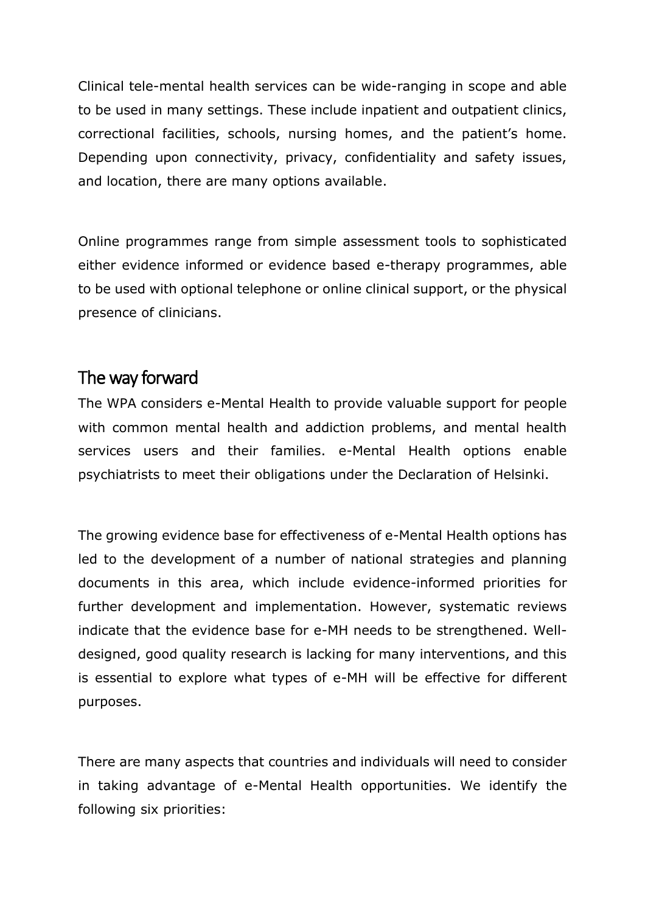Clinical tele-mental health services can be wide-ranging in scope and able to be used in many settings. These include inpatient and outpatient clinics, correctional facilities, schools, nursing homes, and the patient's home. Depending upon connectivity, privacy, confidentiality and safety issues, and location, there are many options available.

Online programmes range from simple assessment tools to sophisticated either evidence informed or evidence based e-therapy programmes, able to be used with optional telephone or online clinical support, or the physical presence of clinicians.

## The way forward

The WPA considers e-Mental Health to provide valuable support for people with common mental health and addiction problems, and mental health services users and their families. e-Mental Health options enable psychiatrists to meet their obligations under the Declaration of Helsinki.

The growing evidence base for effectiveness of e-Mental Health options has led to the development of a number of national strategies and planning documents in this area, which include evidence-informed priorities for further development and implementation. However, systematic reviews indicate that the evidence base for e-MH needs to be strengthened. Welldesigned, good quality research is lacking for many interventions, and this is essential to explore what types of e-MH will be effective for different purposes.

There are many aspects that countries and individuals will need to consider in taking advantage of e-Mental Health opportunities. We identify the following six priorities: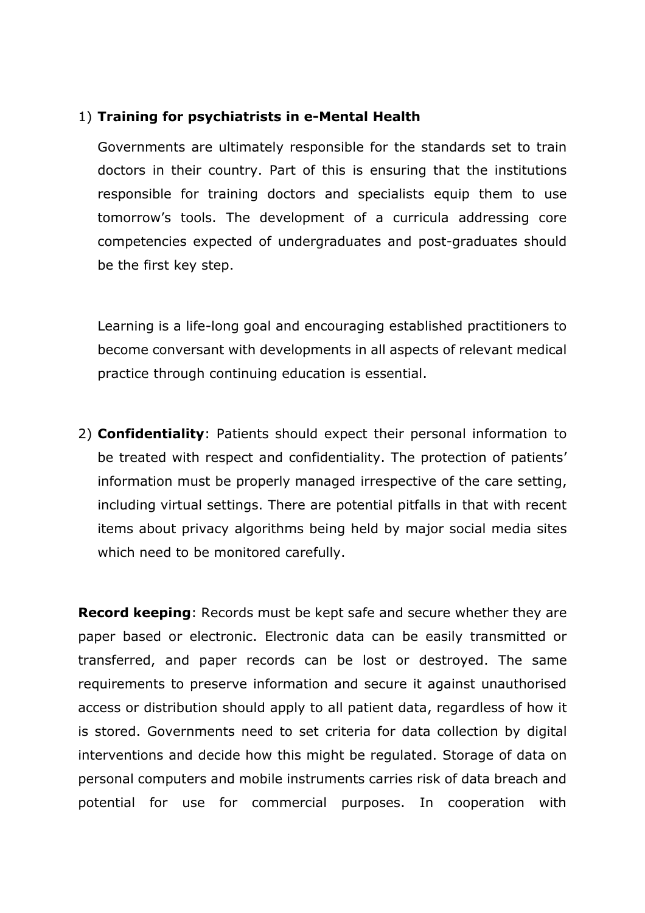#### 1) **Training for psychiatrists in e-Mental Health**

Governments are ultimately responsible for the standards set to train doctors in their country. Part of this is ensuring that the institutions responsible for training doctors and specialists equip them to use tomorrow's tools. The development of a curricula addressing core competencies expected of undergraduates and post-graduates should be the first key step.

Learning is a life-long goal and encouraging established practitioners to become conversant with developments in all aspects of relevant medical practice through continuing education is essential.

2) **Confidentiality**: Patients should expect their personal information to be treated with respect and confidentiality. The protection of patients' information must be properly managed irrespective of the care setting, including virtual settings. There are potential pitfalls in that with recent items about privacy algorithms being held by major social media sites which need to be monitored carefully.

**Record keeping**: Records must be kept safe and secure whether they are paper based or electronic. Electronic data can be easily transmitted or transferred, and paper records can be lost or destroyed. The same requirements to preserve information and secure it against unauthorised access or distribution should apply to all patient data, regardless of how it is stored. Governments need to set criteria for data collection by digital interventions and decide how this might be regulated. Storage of data on personal computers and mobile instruments carries risk of data breach and potential for use for commercial purposes. In cooperation with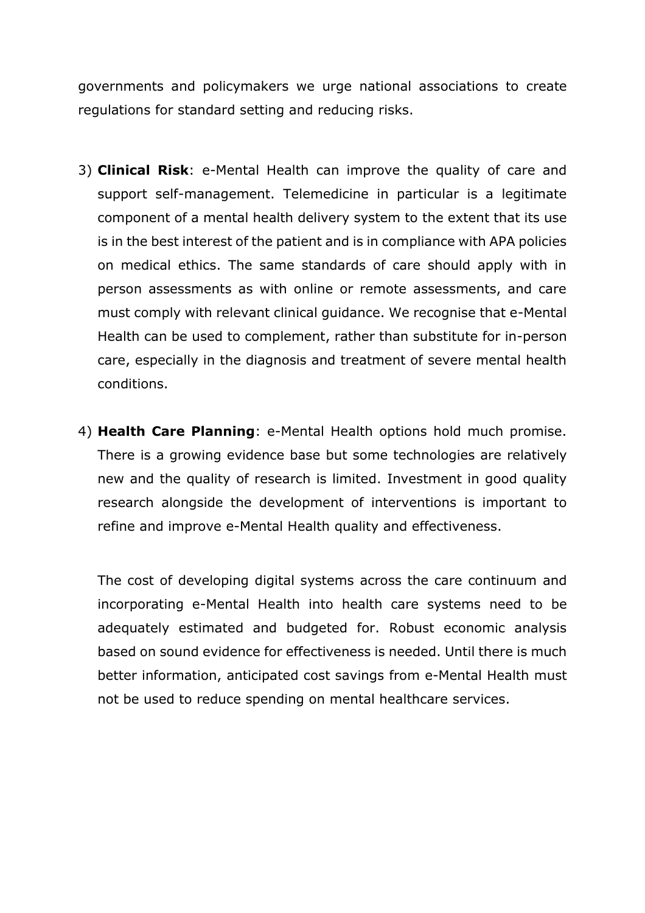governments and policymakers we urge national associations to create regulations for standard setting and reducing risks.

- 3) **Clinical Risk**: e-Mental Health can improve the quality of care and support self-management. Telemedicine in particular is a legitimate component of a mental health delivery system to the extent that its use is in the best interest of the patient and is in compliance with APA policies on medical ethics. The same standards of care should apply with in person assessments as with online or remote assessments, and care must comply with relevant clinical guidance. We recognise that e-Mental Health can be used to complement, rather than substitute for in-person care, especially in the diagnosis and treatment of severe mental health conditions.
- 4) **Health Care Planning**: e-Mental Health options hold much promise. There is a growing evidence base but some technologies are relatively new and the quality of research is limited. Investment in good quality research alongside the development of interventions is important to refine and improve e-Mental Health quality and effectiveness.

The cost of developing digital systems across the care continuum and incorporating e-Mental Health into health care systems need to be adequately estimated and budgeted for. Robust economic analysis based on sound evidence for effectiveness is needed. Until there is much better information, anticipated cost savings from e-Mental Health must not be used to reduce spending on mental healthcare services.